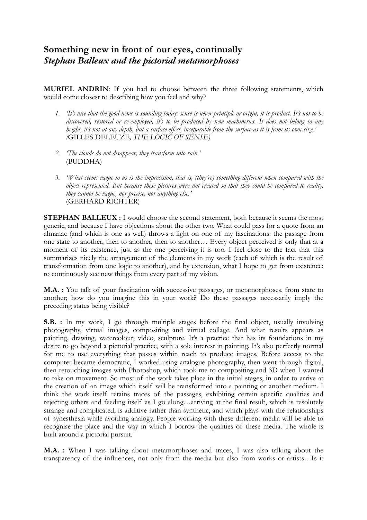## **Something new in front of our eyes, continually**  *Stephan Balleux and the pictorial metamorphoses*

**MURIEL ANDRIN**: If you had to choose between the three following statements, which would come closest to describing how you feel and why?

- *1. 'It's nice that the good news is sounding today: sense is never principle or origin, it is product. It's not to be discovered, restored or re-employed, it's to be produced by new machineries. It does not belong to any height, it's not at any depth, but a surface effect, inseparable from the surface as it is from its own size.' (*GILLES DELEUZE*, THE LOGIC OF SENSE)*
- *2. 'The clouds do not disappear, they transform into rain.'*  (BUDDHA)
- *3. 'What seems vague to us is the imprecision, that is, (they're) something different when compared with the object represented. But because these pictures were not created so that they could be compared to reality, they cannot be vague, nor precise, nor anything else.'*  (GERHARD RICHTER)

**STEPHAN BALLEUX :** I would choose the second statement, both because it seems the most generic, and because I have objections about the other two. What could pass for a quote from an almanac (and which is one as well) throws a light on one of my fascinations: the passage from one state to another, then to another, then to another… Every object perceived is only that at a moment of its existence, just as the one perceiving it is too. I feel close to the fact that this summarizes nicely the arrangement of the elements in my work (each of which is the result of transformation from one logic to another), and by extension, what I hope to get from existence: to continuously see new things from every part of my vision.

**M.A. :** You talk of your fascination with successive passages, or metamorphoses, from state to another; how do you imagine this in your work? Do these passages necessarily imply the preceding states being visible?

**S.B.** : In my work, I go through multiple stages before the final object, usually involving photography, virtual images, compositing and virtual collage. And what results appears as painting, drawing, watercolour, video, sculpture. It's a practice that has its foundations in my desire to go beyond a pictorial practice, with a sole interest in painting. It's also perfectly normal for me to use everything that passes within reach to produce images. Before access to the computer became democratic, I worked using analogue photography, then went through digital, then retouching images with Photoshop, which took me to compositing and 3D when I wanted to take on movement. So most of the work takes place in the initial stages, in order to arrive at the creation of an image which itself will be transformed into a painting or another medium. I think the work itself retains traces of the passages, exhibiting certain specific qualities and rejecting others and feeding itself as I go along…arriving at the final result, which is resolutely strange and complicated, is additive rather than synthetic, and which plays with the relationships of synesthesia while avoiding analogy. People working with these different media will be able to recognise the place and the way in which I borrow the qualities of these media. The whole is built around a pictorial pursuit.

**M.A. :** When I was talking about metamorphoses and traces, I was also talking about the transparency of the influences, not only from the media but also from works or artists…Is it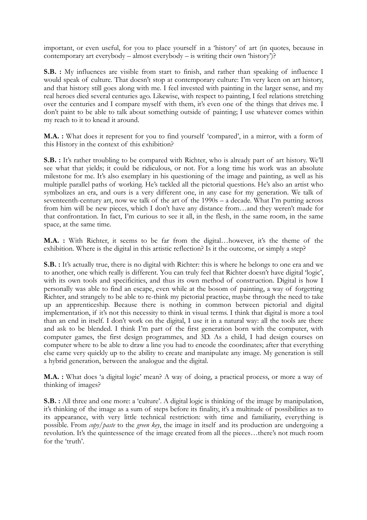important, or even useful, for you to place yourself in a 'history' of art (in quotes, because in contemporary art everybody – almost everybody – is writing their own 'history')?

**S.B. :** My influences are visible from start to finish, and rather than speaking of influence I would speak of culture. That doesn't stop at contemporary culture: I'm very keen on art history, and that history still goes along with me. I feel invested with painting in the larger sense, and my real heroes died several centuries ago. Likewise, with respect to painting, I feel relations stretching over the centuries and I compare myself with them, it's even one of the things that drives me. I don't paint to be able to talk about something outside of painting; I use whatever comes within my reach to it to knead it around.

**M.A. :** What does it represent for you to find yourself 'compared', in a mirror, with a form of this History in the context of this exhibition?

**S.B. :** It's rather troubling to be compared with Richter, who is already part of art history. We'll see what that yields; it could be ridiculous, or not. For a long time his work was an absolute milestone for me. It's also exemplary in his questioning of the image and painting, as well as his multiple parallel paths of working. He's tackled all the pictorial questions. He's also an artist who symbolizes an era, and ours is a very different one, in any case for my generation. We talk of seventeenth-century art, now we talk of the art of the 1990s – a decade. What I'm putting across from him will be new pieces, which I don't have any distance from…and they weren't made for that confrontation. In fact, I'm curious to see it all, in the flesh, in the same room, in the same space, at the same time.

**M.A. :** With Richter, it seems to be far from the digital…however, it's the theme of the exhibition. Where is the digital in this artistic reflection? Is it the outcome, or simply a step?

**S.B.** : It's actually true, there is no digital with Richter: this is where he belongs to one era and we to another, one which really is different. You can truly feel that Richter doesn't have digital 'logic', with its own tools and specificities, and thus its own method of construction. Digital is how I personally was able to find an escape, even while at the bosom of painting, a way of forgetting Richter, and strangely to be able to re-think my pictorial practice, maybe through the need to take up an apprenticeship. Because there is nothing in common between pictorial and digital implementation, if it's not this necessity to think in visual terms. I think that digital is more a tool than an end in itself. I don't work on the digital, I use it in a natural way: all the tools are there and ask to be blended. I think I'm part of the first generation born with the computer, with computer games, the first design programmes, and 3D. As a child, I had design courses on computer where to be able to draw a line you had to encode the coordinates; after that everything else came very quickly up to the ability to create and manipulate any image. My generation is still a hybrid generation, between the analogue and the digital.

**M.A. :** What does 'a digital logic' mean? A way of doing, a practical process, or more a way of thinking of images?

**S.B.** : All three and one more: a 'culture'. A digital logic is thinking of the image by manipulation, it's thinking of the image as a sum of steps before its finality, it's a multitude of possibilities as to its appearance, with very little technical restriction: with time and familiarity, everything is possible. From *copy/paste* to the *green key*, the image in itself and its production are undergoing a revolution. It's the quintessence of the image created from all the pieces…there's not much room for the 'truth'.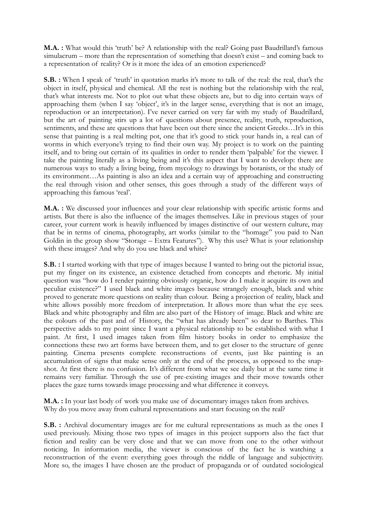**M.A. :** What would this 'truth' be? A relationship with the real? Going past Baudrillard's famous simulacrum – more than the representation of something that doesn't exist – and coming back to a representation of reality? Or is it more the idea of an emotion experienced?

**S.B. :** When I speak of 'truth' in quotation marks it's more to talk of the real: the real, that's the object in itself, physical and chemical. All the rest is nothing but the relationship with the real, that's what interests me. Not to plot out what these objects are, but to dig into certain ways of approaching them (when I say 'object', it's in the larger sense, everything that is not an image, reproduction or an interpretation). I've never carried on very far with my study of Baudrillard, but the art of painting stirs up a lot of questions about presence, reality, truth, reproduction, sentiments, and these are questions that have been out there since the ancient Greeks…It's in this sense that painting is a real melting pot, one that it's good to stick your hands in, a real can of worms in which everyone's trying to find their own way. My project is to work on the painting itself, and to bring out certain of its qualities in order to render them 'palpable' for the viewer. I take the painting literally as a living being and it's this aspect that I want to develop: there are numerous ways to study a living being, from mycology to drawings by botanists, or the study of its environment…As painting is also an idea and a certain way of approaching and constructing the real through vision and other senses, this goes through a study of the different ways of approaching this famous 'real'.

**M.A. :** We discussed your influences and your clear relationship with specific artistic forms and artists. But there is also the influence of the images themselves. Like in previous stages of your career, your current work is heavily influenced by images distinctive of our western culture, may that be in terms of cinema, photography, art works (similar to the "homage" you paid to Nan Goldin in the group show "Storage – Extra Features"). Why this use? What is your relationship with these images? And why do you use black and white?

**S.B.** : I started working with that type of images because I wanted to bring out the pictorial issue, put my finger on its existence, an existence detached from concepts and rhetoric. My initial question was "how do I render painting obviously organic, how do I make it acquire its own and peculiar existence?" I used black and white images because strangely enough, black and white proved to generate more questions on reality than colour. Being a projection of reality, black and white allows possibly more freedom of interpretation. It allows more than what the eye sees. Black and white photography and film are also part of the History of image. Black and white are the colours of the past and of History, the "what has already been" so dear to Barthes. This perspective adds to my point since I want a physical relationship to be established with what I paint. At first, I used images taken from film history books in order to emphasize the connections these two art forms have between them, and to get closer to the structure of genre painting. Cinema presents complete reconstructions of events, just like painting is an accumulation of signs that make sense only at the end of the process, as opposed to the snapshot. At first there is no confusion. It's different from what we see daily but at the same time it remains very familiar. Through the use of pre-existing images and their move towards other places the gaze turns towards image processing and what difference it conveys.

**M.A. :** In your last body of work you make use of documentary images taken from archives. Why do you move away from cultural representations and start focusing on the real?

**S.B.**: Archival documentary images are for me cultural representations as much as the ones I used previously. Mixing those two types of images in this project supports also the fact that fiction and reality can be very close and that we can move from one to the other without noticing. In information media, the viewer is conscious of the fact he is watching a reconstruction of the event: everything goes through the riddle of language and subjectivity. More so, the images I have chosen are the product of propaganda or of outdated sociological